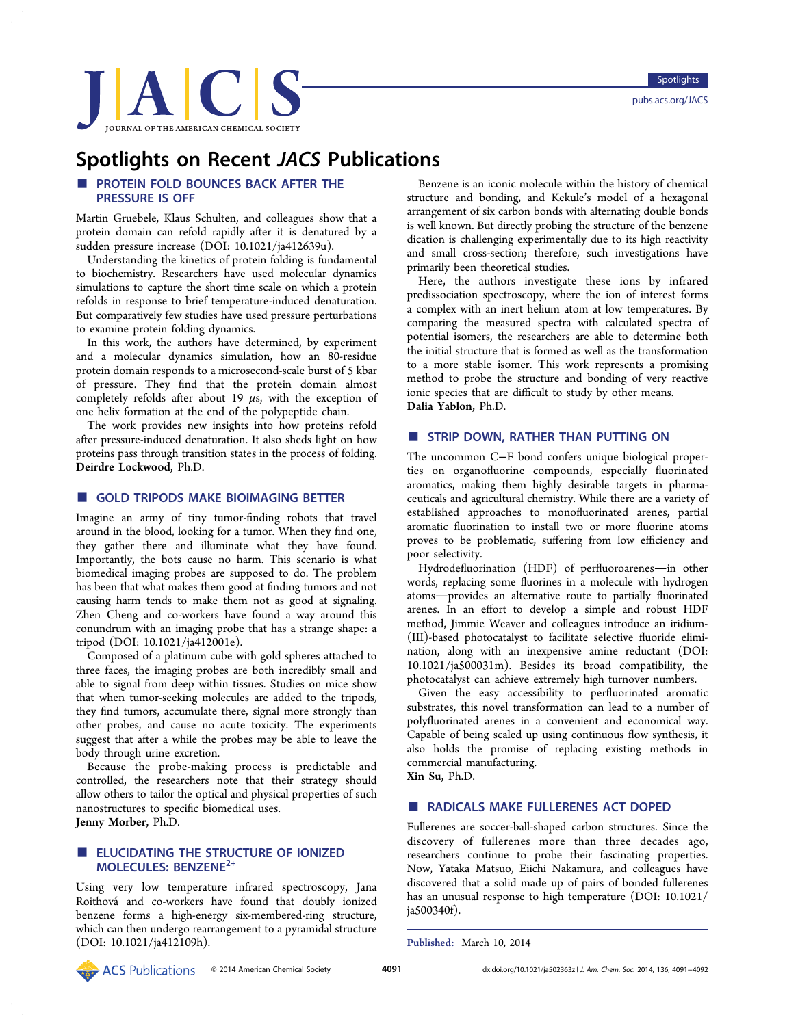

# **Spotlights on Recent JACS Publications**<br>■ PROTEIN FOLD BOUNCES BACK AFTER THE Benz<br>PRESSURE IS OFF

PRESSURE IS OFF Martin Gruebele, Klaus Schulten, and colleagues show that a protein domain can refold rapidly after it is denatured by a sudden pressure increase (DOI: 10.1021/ja412639u).

Understanding the kinetics of protein folding is fundamental to biochemistry. Researchers have used molecular dynamics simulations to capture the short time scale on which a protein refolds in response to brief temperature-induced denaturation. But comparatively few studies have used pressure perturbations to examine protein folding dynamics.

In this work, the authors have determined, by experiment and a molecular dynamics simulation, how an 80-residue protein domain responds to a microsecond-scale burst of 5 kbar of pressure. They find that the protein domain almost completely refolds after about 19  $\mu$ s, with the exception of one helix formation at the end of the polypeptide chain.

The work provides new insights into how proteins refold after pressure-induced denaturation. It also sheds light on how proteins pass through transition states in the process of folding. Deirdre Lockwood, Ph.D.

# **B** GOLD TRIPODS MAKE BIOIMAGING BETTER

Imagine an army of tiny tumor-finding robots that travel around in the blood, looking for a tumor. When they find one, they gather there and illuminate what they have found. Importantly, the bots cause no harm. This scenario is what biomedical imaging probes are supposed to do. The problem has been that what makes them good at finding tumors and not causing harm tends to make them not as good at signaling. Zhen Cheng and co-workers have found a way around this conundrum with an imaging probe that has a strange shape: a tripod (DOI: 10.1021/ja412001e).

Composed of a platinum cube with gold spheres attached to three faces, the imaging probes are both incredibly small and able to signal from deep within tissues. Studies on mice show that when tumor-seeking molecules are added to the tripods, they find tumors, accumulate there, signal more strongly than other probes, and cause no acute toxicity. The experiments suggest that after a while the probes may be able to leave the body through urine excretion.

Because the probe-making process is predictable and controlled, the researchers note that their strategy should allow others to tailor the optical and physical properties of such nanostructures to specific biomedical uses. Jenny Morber, Ph.D.

### **ELUCIDATING THE STRUCTURE OF IONIZED** MOLECULES: BENZENE2+

Using very low temperature infrared spectroscopy, Jana Roithová and co-workers have found that doubly ionized benzene forms a high-energy six-membered-ring structure, which can then undergo rearrangement to a pyramidal structure (DOI: 10.1021/ja412109h).

Benzene is an iconic molecule within the history of chemical structure and bonding, and Kekule's model of a hexagonal arrangement of six carbon bonds with alternating double bonds is well known. But directly probing the structure of the benzene dication is challenging experimentally due to its high reactivity and small cross-section; therefore, such investigations have primarily been theoretical studies.

Here, the authors investigate these ions by infrared predissociation spectroscopy, where the ion of interest forms a complex with an inert helium atom at low temperatures. By comparing the measured spectra with calculated spectra of potential isomers, the researchers are able to determine both the initial structure that is formed as well as the transformation to a more stable isomer. This work represents a promising method to probe the structure and bonding of very reactive ionic species that are difficult to study by other means. Dalia Yablon, Ph.D.

### ■ STRIP DOWN, RATHER THAN PUTTING ON

The uncommon C−F bond confers unique biological properties on organofluorine compounds, especially fluorinated aromatics, making them highly desirable targets in pharmaceuticals and agricultural chemistry. While there are a variety of established approaches to monofluorinated arenes, partial aromatic fluorination to install two or more fluorine atoms proves to be problematic, suffering from low efficiency and poor selectivity.

Hydrodefluorination (HDF) of perfluoroarenes-in other words, replacing some fluorines in a molecule with hydrogen atoms-provides an alternative route to partially fluorinated arenes. In an effort to develop a simple and robust HDF method, Jimmie Weaver and colleagues introduce an iridium- (III)-based photocatalyst to facilitate selective fluoride elimination, along with an inexpensive amine reductant (DOI: 10.1021/ja500031m). Besides its broad compatibility, the photocatalyst can achieve extremely high turnover numbers.

Given the easy accessibility to perfluorinated aromatic substrates, this novel transformation can lead to a number of polyfluorinated arenes in a convenient and economical way. Capable of being scaled up using continuous flow synthesis, it also holds the promise of replacing existing methods in commercial manufacturing.

Xin Su, Ph.D.

### ■ RADICALS MAKE FULLERENES ACT DOPED

Fullerenes are soccer-ball-shaped carbon structures. Since the discovery of fullerenes more than three decades ago, researchers continue to probe their fascinating properties. Now, Yataka Matsuo, Eiichi Nakamura, and colleagues have discovered that a solid made up of pairs of bonded fullerenes has an unusual response to high temperature (DOI: 10.1021/ ja500340f).

Published: March 10, 2014